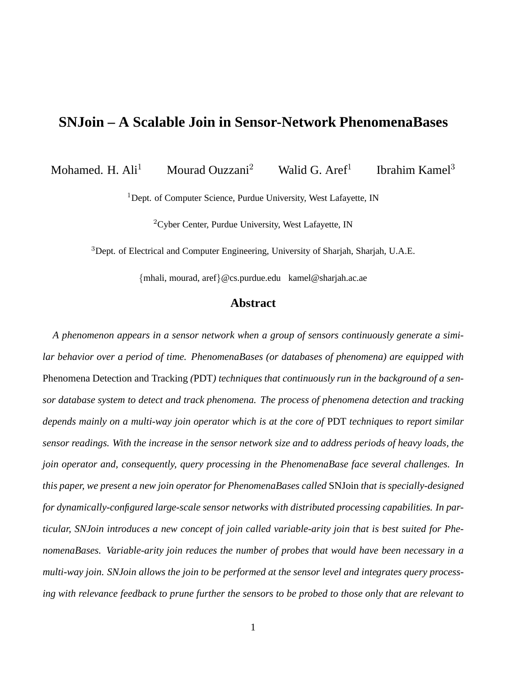# **SNJoin – A Scalable Join in Sensor-Network PhenomenaBases**

Mohamed. H.  $\text{Ali}^1$  Mourad Ouzzani<sup>2</sup> Walid G. Aref<sup>1</sup> Ibrahim Kamel<sup>3</sup>

<sup>1</sup>Dept. of Computer Science, Purdue University, West Lafayette, IN

<sup>2</sup>Cyber Center, Purdue University, West Lafayette, IN

<sup>3</sup>Dept. of Electrical and Computer Engineering, University of Sharjah, Sharjah, U.A.E.

{mhali, mourad, aref}@cs.purdue.edu kamel@sharjah.ac.ae

## **Abstract**

*A phenomenon appears in a sensor network when a group of sensors continuously generate a similar behavior over a period of time. PhenomenaBases (or databases of phenomena) are equipped with* Phenomena Detection and Tracking *(*PDT*) techniques that continuously run in the background of a sensor database system to detect and track phenomena. The process of phenomena detection and tracking depends mainly on a multi-way join operator which is at the core of* PDT *techniques to report similar sensor readings. With the increase in the sensor network size and to address periods of heavy loads, the join operator and, consequently, query processing in the PhenomenaBase face several challenges. In this paper, we present a new join operator for PhenomenaBases called* SNJoin *that is specially-designed for dynamically-configured large-scale sensor networks with distributed processing capabilities. In particular, SNJoin introduces a new concept of join called variable-arity join that is best suited for PhenomenaBases. Variable-arity join reduces the number of probes that would have been necessary in a multi-way join. SNJoin allows the join to be performed at the sensor level and integrates query processing with relevance feedback to prune further the sensors to be probed to those only that are relevant to*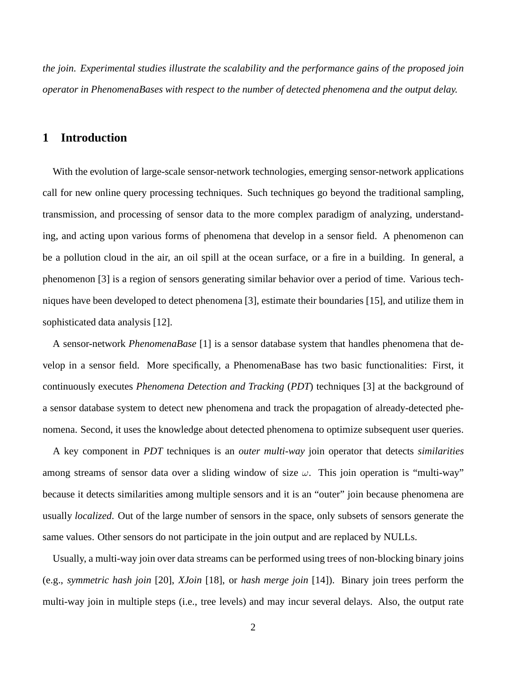*the join. Experimental studies illustrate the scalability and the performance gains of the proposed join operator in PhenomenaBases with respect to the number of detected phenomena and the output delay.*

# **1 Introduction**

With the evolution of large-scale sensor-network technologies, emerging sensor-network applications call for new online query processing techniques. Such techniques go beyond the traditional sampling, transmission, and processing of sensor data to the more complex paradigm of analyzing, understanding, and acting upon various forms of phenomena that develop in a sensor field. A phenomenon can be a pollution cloud in the air, an oil spill at the ocean surface, or a fire in a building. In general, a phenomenon [3] is a region of sensors generating similar behavior over a period of time. Various techniques have been developed to detect phenomena [3], estimate their boundaries [15], and utilize them in sophisticated data analysis [12].

A sensor-network *PhenomenaBase* [1] is a sensor database system that handles phenomena that develop in a sensor field. More specifically, a PhenomenaBase has two basic functionalities: First, it continuously executes *Phenomena Detection and Tracking* (*PDT*) techniques [3] at the background of a sensor database system to detect new phenomena and track the propagation of already-detected phenomena. Second, it uses the knowledge about detected phenomena to optimize subsequent user queries.

A key component in *PDT* techniques is an *outer multi-way* join operator that detects *similarities* among streams of sensor data over a sliding window of size  $\omega$ . This join operation is "multi-way" because it detects similarities among multiple sensors and it is an "outer" join because phenomena are usually *localized*. Out of the large number of sensors in the space, only subsets of sensors generate the same values. Other sensors do not participate in the join output and are replaced by NULLs.

Usually, a multi-way join over data streams can be performed using trees of non-blocking binary joins (e.g., *symmetric hash join* [20], *XJoin* [18], or *hash merge join* [14]). Binary join trees perform the multi-way join in multiple steps (i.e., tree levels) and may incur several delays. Also, the output rate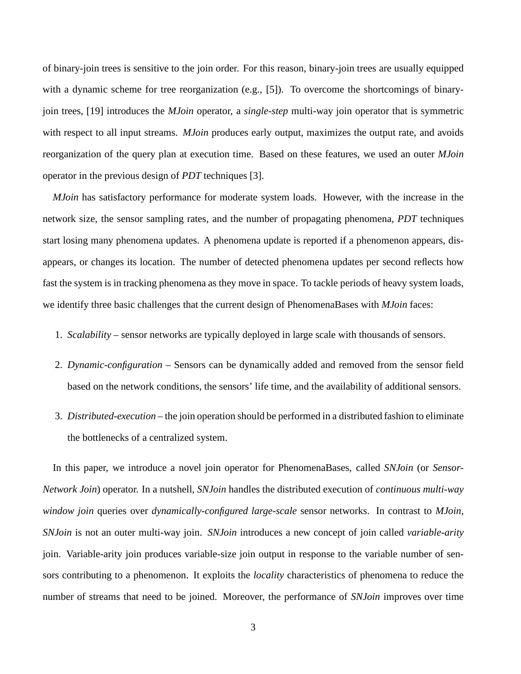of binary-join trees is sensitive to the join order. For this reason, binary-join trees are usually equipped with a dynamic scheme for tree reorganization (e.g., [5]). To overcome the shortcomings of binaryjoin trees, [19] introduces the *MJoin* operator, a *single-step* multi-way join operator that is symmetric with respect to all input streams. *MJoin* produces early output, maximizes the output rate, and avoids reorganization of the query plan at execution time. Based on these features, we used an outer *MJoin* operator in the previous design of *PDT* techniques [3].

*MJoin* has satisfactory performance for moderate system loads. However, with the increase in the network size, the sensor sampling rates, and the number of propagating phenomena, *PDT* techniques start losing many phenomena updates. A phenomena update is reported if a phenomenon appears, disappears, or changes its location. The number of detected phenomena updates per second reflects how fast the system is in tracking phenomena as they move in space. To tackle periods of heavy system loads, we identify three basic challenges that the current design of PhenomenaBases with *MJoin* faces:

- 1. *Scalability* sensor networks are typically deployed in large scale with thousands of sensors.
- 2. *Dynamic-configuration* Sensors can be dynamically added and removed from the sensor field based on the network conditions, the sensors' life time, and the availability of additional sensors.
- 3. *Distributed-execution* the join operation should be performed in a distributed fashion to eliminate the bottlenecks of a centralized system.

In this paper, we introduce a novel join operator for PhenomenaBases, called *SNJoin* (or *Sensor-Network Join*) operator. In a nutshell, *SNJoin* handles the distributed execution of *continuous multi-way window join* queries over *dynamically-configured large-scale* sensor networks. In contrast to *MJoin*, *SNJoin* is not an outer multi-way join. *SNJoin* introduces a new concept of join called *variable-arity* join. Variable-arity join produces variable-size join output in response to the variable number of sensors contributing to a phenomenon. It exploits the *locality* characteristics of phenomena to reduce the number of streams that need to be joined. Moreover, the performance of *SNJoin* improves over time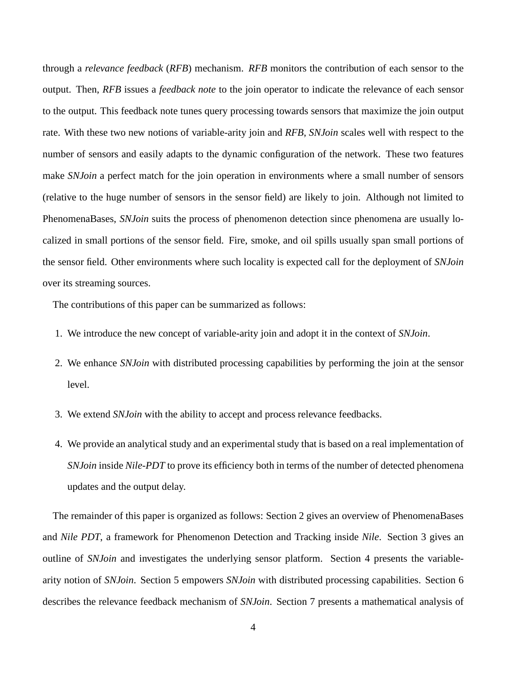through a *relevance feedback* (*RFB*) mechanism. *RFB* monitors the contribution of each sensor to the output. Then, *RFB* issues a *feedback note* to the join operator to indicate the relevance of each sensor to the output. This feedback note tunes query processing towards sensors that maximize the join output rate. With these two new notions of variable-arity join and *RFB*, *SNJoin* scales well with respect to the number of sensors and easily adapts to the dynamic configuration of the network. These two features make *SNJoin* a perfect match for the join operation in environments where a small number of sensors (relative to the huge number of sensors in the sensor field) are likely to join. Although not limited to PhenomenaBases, *SNJoin* suits the process of phenomenon detection since phenomena are usually localized in small portions of the sensor field. Fire, smoke, and oil spills usually span small portions of the sensor field. Other environments where such locality is expected call for the deployment of *SNJoin* over its streaming sources.

The contributions of this paper can be summarized as follows:

- 1. We introduce the new concept of variable-arity join and adopt it in the context of *SNJoin*.
- 2. We enhance *SNJoin* with distributed processing capabilities by performing the join at the sensor level.
- 3. We extend *SNJoin* with the ability to accept and process relevance feedbacks.
- 4. We provide an analytical study and an experimental study that is based on a real implementation of *SNJoin* inside *Nile-PDT* to prove its efficiency both in terms of the number of detected phenomena updates and the output delay.

The remainder of this paper is organized as follows: Section 2 gives an overview of PhenomenaBases and *Nile PDT*, a framework for Phenomenon Detection and Tracking inside *Nile*. Section 3 gives an outline of *SNJoin* and investigates the underlying sensor platform. Section 4 presents the variablearity notion of *SNJoin*. Section 5 empowers *SNJoin* with distributed processing capabilities. Section 6 describes the relevance feedback mechanism of *SNJoin*. Section 7 presents a mathematical analysis of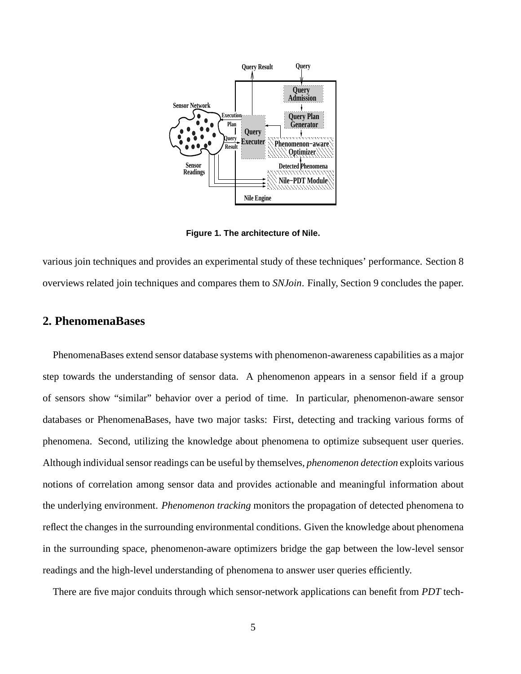

**Figure 1. The architecture of Nile.**

various join techniques and provides an experimental study of these techniques' performance. Section 8 overviews related join techniques and compares them to *SNJoin*. Finally, Section 9 concludes the paper.

# **2. PhenomenaBases**

PhenomenaBases extend sensor database systems with phenomenon-awareness capabilities as a major step towards the understanding of sensor data. A phenomenon appears in a sensor field if a group of sensors show "similar" behavior over a period of time. In particular, phenomenon-aware sensor databases or PhenomenaBases, have two major tasks: First, detecting and tracking various forms of phenomena. Second, utilizing the knowledge about phenomena to optimize subsequent user queries. Although individual sensor readings can be useful by themselves, *phenomenon detection* exploits various notions of correlation among sensor data and provides actionable and meaningful information about the underlying environment. *Phenomenon tracking* monitors the propagation of detected phenomena to reflect the changes in the surrounding environmental conditions. Given the knowledge about phenomena in the surrounding space, phenomenon-aware optimizers bridge the gap between the low-level sensor readings and the high-level understanding of phenomena to answer user queries efficiently.

There are five major conduits through which sensor-network applications can benefit from *PDT* tech-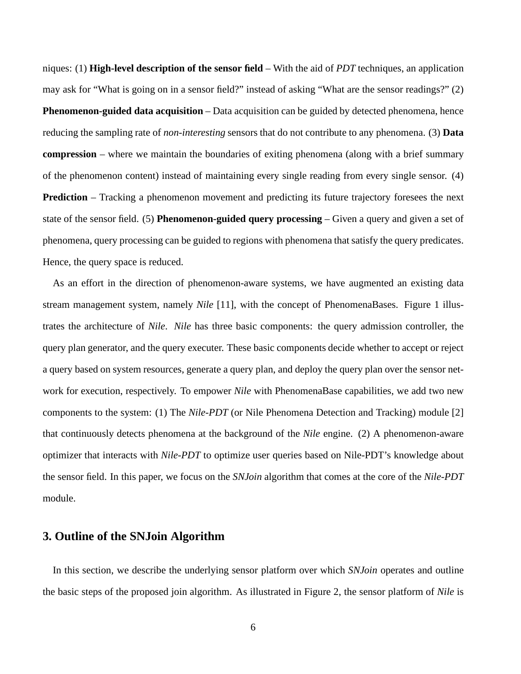niques: (1) **High-level description of the sensor field** – With the aid of *PDT* techniques, an application may ask for "What is going on in a sensor field?" instead of asking "What are the sensor readings?" (2) **Phenomenon-guided data acquisition** – Data acquisition can be guided by detected phenomena, hence reducing the sampling rate of *non-interesting* sensors that do not contribute to any phenomena. (3) **Data compression** – where we maintain the boundaries of exiting phenomena (along with a brief summary of the phenomenon content) instead of maintaining every single reading from every single sensor. (4) **Prediction** – Tracking a phenomenon movement and predicting its future trajectory foresees the next state of the sensor field. (5) **Phenomenon-guided query processing** – Given a query and given a set of phenomena, query processing can be guided to regions with phenomena that satisfy the query predicates. Hence, the query space is reduced.

As an effort in the direction of phenomenon-aware systems, we have augmented an existing data stream management system, namely *Nile* [11], with the concept of PhenomenaBases. Figure 1 illustrates the architecture of *Nile*. *Nile* has three basic components: the query admission controller, the query plan generator, and the query executer. These basic components decide whether to accept or reject a query based on system resources, generate a query plan, and deploy the query plan over the sensor network for execution, respectively. To empower *Nile* with PhenomenaBase capabilities, we add two new components to the system: (1) The *Nile-PDT* (or Nile Phenomena Detection and Tracking) module [2] that continuously detects phenomena at the background of the *Nile* engine. (2) A phenomenon-aware optimizer that interacts with *Nile-PDT* to optimize user queries based on Nile-PDT's knowledge about the sensor field. In this paper, we focus on the *SNJoin* algorithm that comes at the core of the *Nile-PDT* module.

# **3. Outline of the SNJoin Algorithm**

In this section, we describe the underlying sensor platform over which *SNJoin* operates and outline the basic steps of the proposed join algorithm. As illustrated in Figure 2, the sensor platform of *Nile* is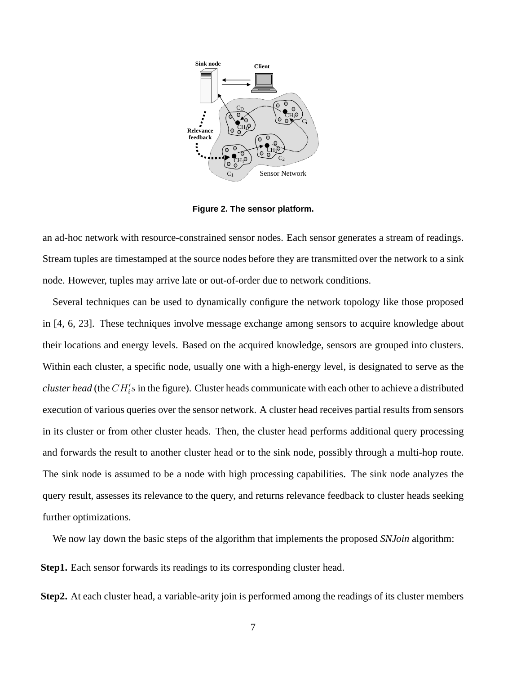

**Figure 2. The sensor platform.**

an ad-hoc network with resource-constrained sensor nodes. Each sensor generates a stream of readings. Stream tuples are timestamped at the source nodes before they are transmitted over the network to a sink node. However, tuples may arrive late or out-of-order due to network conditions.

Several techniques can be used to dynamically configure the network topology like those proposed in [4, 6, 23]. These techniques involve message exchange among sensors to acquire knowledge about their locations and energy levels. Based on the acquired knowledge, sensors are grouped into clusters. Within each cluster, a specific node, usually one with a high-energy level, is designated to serve as the *cluster head* (the  $CH_i's$  in the figure). Cluster heads communicate with each other to achieve a distributed execution of various queries over the sensor network. A cluster head receives partial results from sensors in its cluster or from other cluster heads. Then, the cluster head performs additional query processing and forwards the result to another cluster head or to the sink node, possibly through a multi-hop route. The sink node is assumed to be a node with high processing capabilities. The sink node analyzes the query result, assesses its relevance to the query, and returns relevance feedback to cluster heads seeking further optimizations.

We now lay down the basic steps of the algorithm that implements the proposed *SNJoin* algorithm:

**Step1.** Each sensor forwards its readings to its corresponding cluster head.

**Step2.** At each cluster head, a variable-arity join is performed among the readings of its cluster members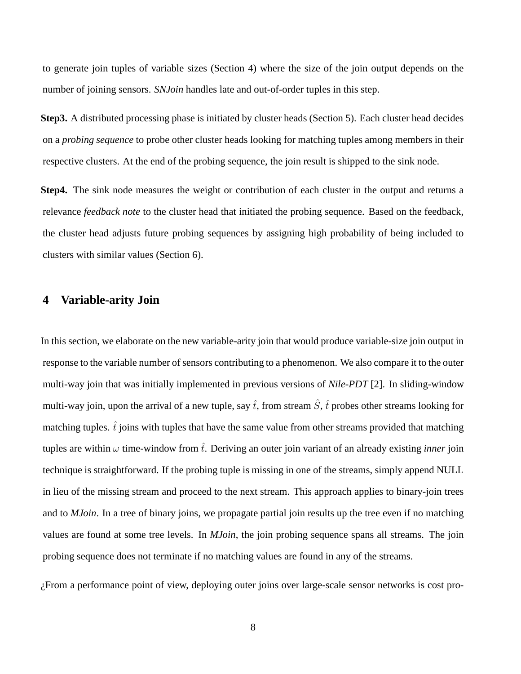to generate join tuples of variable sizes (Section 4) where the size of the join output depends on the number of joining sensors. *SNJoin* handles late and out-of-order tuples in this step.

**Step3.** A distributed processing phase is initiated by cluster heads (Section 5). Each cluster head decides on a *probing sequence* to probe other cluster heads looking for matching tuples among members in their respective clusters. At the end of the probing sequence, the join result is shipped to the sink node.

**Step4.** The sink node measures the weight or contribution of each cluster in the output and returns a relevance *feedback note* to the cluster head that initiated the probing sequence. Based on the feedback, the cluster head adjusts future probing sequences by assigning high probability of being included to clusters with similar values (Section 6).

# **4 Variable-arity Join**

In this section, we elaborate on the new variable-arity join that would produce variable-size join output in response to the variable number of sensors contributing to a phenomenon. We also compare it to the outer multi-way join that was initially implemented in previous versions of *Nile-PDT* [2]. In sliding-window multi-way join, upon the arrival of a new tuple, say  $\hat{t}$ , from stream  $\hat{S}$ ,  $\hat{t}$  probes other streams looking for matching tuples.  $\hat{t}$  joins with tuples that have the same value from other streams provided that matching tuples are within  $\omega$  time-window from  $\hat{t}$ . Deriving an outer join variant of an already existing *inner* join technique is straightforward. If the probing tuple is missing in one of the streams, simply append NULL in lieu of the missing stream and proceed to the next stream. This approach applies to binary-join trees and to *MJoin*. In a tree of binary joins, we propagate partial join results up the tree even if no matching values are found at some tree levels. In *MJoin*, the join probing sequence spans all streams. The join probing sequence does not terminate if no matching values are found in any of the streams.

¿From a performance point of view, deploying outer joins over large-scale sensor networks is cost pro-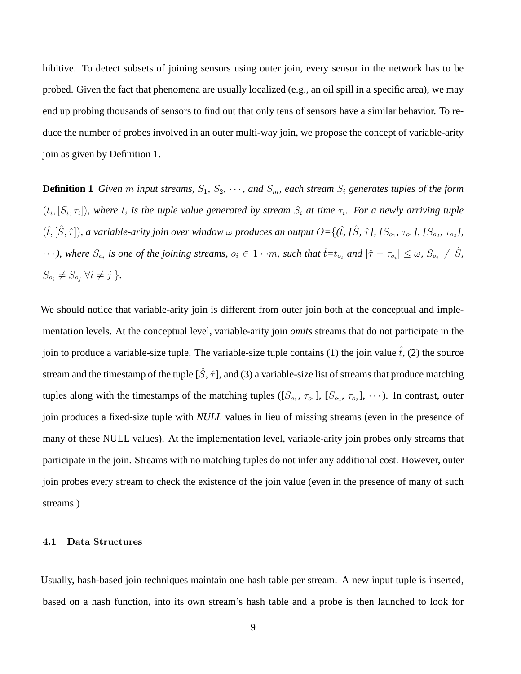hibitive. To detect subsets of joining sensors using outer join, every sensor in the network has to be probed. Given the fact that phenomena are usually localized (e.g., an oil spill in a specific area), we may end up probing thousands of sensors to find out that only tens of sensors have a similar behavior. To reduce the number of probes involved in an outer multi-way join, we propose the concept of variable-arity join as given by Definition 1.

**Definition 1** *Given* m *input streams,*  $S_1$ ,  $S_2$ ,  $\cdots$ , and  $S_m$ , each stream  $S_i$  generates tuples of the form  $(t_i, [S_i, \tau_i])$ , where  $t_i$  is the tuple value generated by stream  $S_i$  at time  $\tau_i$ . For a newly arriving tuple  $(\hat{t}, [\hat{S}, \hat{\tau}])$ , a variable-arity join over window  $\omega$  produces an output  $O = \{(\hat{t}, [\hat{S}, \hat{\tau}], [S_{o_1}, \tau_{o_1}], [S_{o_2}, \tau_{o_2}],$  $\cdots$ ), where  $S_{o_i}$  is one of the joining streams,  $o_i \in 1 \cdot m$ , such that  $\hat{t} = t_{o_i}$  and  $|\hat{\tau} - \tau_{o_i}| \leq \omega$ ,  $S_{o_i} \neq \hat{S}$ ,  $S_{o_i} \neq S_{o_j} \ \forall i \neq j$  }.

We should notice that variable-arity join is different from outer join both at the conceptual and implementation levels. At the conceptual level, variable-arity join *omits* streams that do not participate in the join to produce a variable-size tuple. The variable-size tuple contains (1) the join value  $\hat{t}$ , (2) the source stream and the timestamp of the tuple  $[\hat{S}, \hat{\tau}]$ , and (3) a variable-size list of streams that produce matching tuples along with the timestamps of the matching tuples  $([S_{o_1}, \tau_{o_1}], [S_{o_2}, \tau_{o_2}], \cdots)$ . In contrast, outer join produces a fixed-size tuple with *NULL* values in lieu of missing streams (even in the presence of many of these NULL values). At the implementation level, variable-arity join probes only streams that participate in the join. Streams with no matching tuples do not infer any additional cost. However, outer join probes every stream to check the existence of the join value (even in the presence of many of such streams.)

#### 4.1 Data Structures

Usually, hash-based join techniques maintain one hash table per stream. A new input tuple is inserted, based on a hash function, into its own stream's hash table and a probe is then launched to look for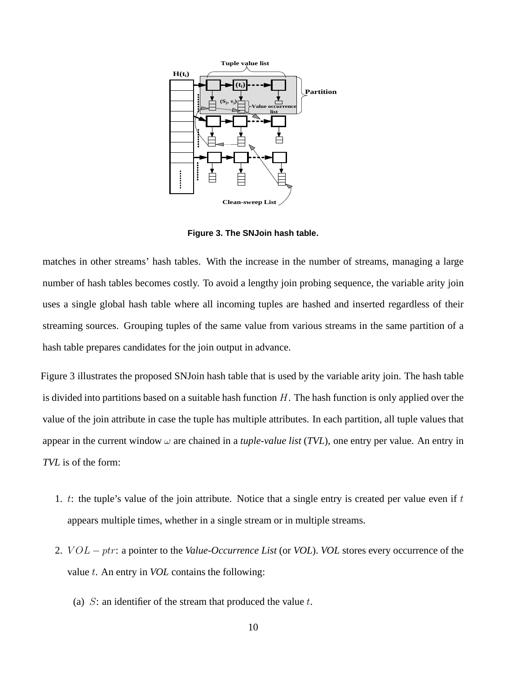

**Figure 3. The SNJoin hash table.**

matches in other streams' hash tables. With the increase in the number of streams, managing a large number of hash tables becomes costly. To avoid a lengthy join probing sequence, the variable arity join uses a single global hash table where all incoming tuples are hashed and inserted regardless of their streaming sources. Grouping tuples of the same value from various streams in the same partition of a hash table prepares candidates for the join output in advance.

Figure 3 illustrates the proposed SNJoin hash table that is used by the variable arity join. The hash table is divided into partitions based on a suitable hash function  $H$ . The hash function is only applied over the value of the join attribute in case the tuple has multiple attributes. In each partition, all tuple values that appear in the current window  $\omega$  are chained in a *tuple-value list* (*TVL*), one entry per value. An entry in *TVL* is of the form:

- 1. t: the tuple's value of the join attribute. Notice that a single entry is created per value even if  $t$ appears multiple times, whether in a single stream or in multiple streams.
- 2. *VOL* − *ptr*: a pointer to the *Value-Occurrence List* (or *VOL*). *VOL* stores every occurrence of the value t. An entry in *VOL* contains the following:
	- (a)  $S$ : an identifier of the stream that produced the value  $t$ .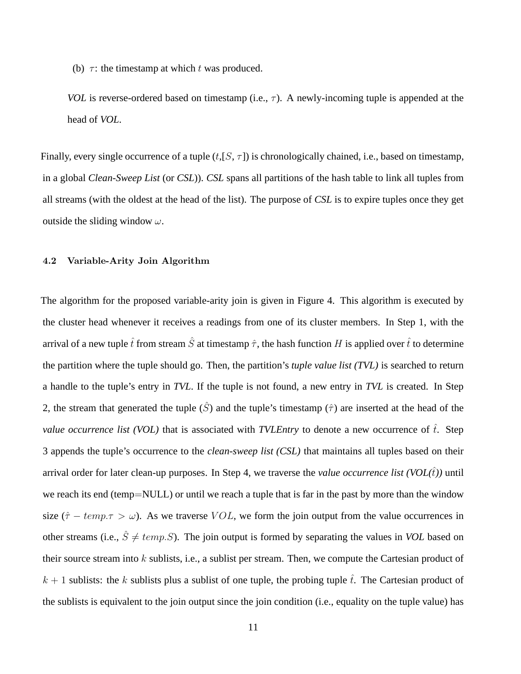(b)  $\tau$ : the timestamp at which t was produced.

*VOL* is reverse-ordered based on timestamp (i.e.,  $\tau$ ). A newly-incoming tuple is appended at the head of *VOL*.

Finally, every single occurrence of a tuple  $(t,[S,\tau])$  is chronologically chained, i.e., based on timestamp, in a global *Clean-Sweep List* (or *CSL*)). *CSL* spans all partitions of the hash table to link all tuples from all streams (with the oldest at the head of the list). The purpose of *CSL* is to expire tuples once they get outside the sliding window  $\omega$ .

#### 4.2 Variable-Arity Join Algorithm

The algorithm for the proposed variable-arity join is given in Figure 4. This algorithm is executed by the cluster head whenever it receives a readings from one of its cluster members. In Step 1, with the arrival of a new tuple  $\hat{t}$  from stream  $\hat{S}$  at timestamp  $\hat{\tau}$ , the hash function H is applied over  $\hat{t}$  to determine the partition where the tuple should go. Then, the partition's *tuple value list (TVL)* is searched to return a handle to the tuple's entry in *TVL*. If the tuple is not found, a new entry in *TVL* is created. In Step 2, the stream that generated the tuple  $(\hat{S})$  and the tuple's timestamp  $(\hat{\tau})$  are inserted at the head of the *value occurrence list (VOL)* that is associated with *TVLEntry* to denote a new occurrence of  $\hat{t}$ . Step 3 appends the tuple's occurrence to the *clean-sweep list (CSL)* that maintains all tuples based on their arrival order for later clean-up purposes. In Step 4, we traverse the *value occurrence list* (*VOL* $(\hat{t})$ ) until we reach its end (temp=NULL) or until we reach a tuple that is far in the past by more than the window size ( $\hat{\tau} - temp.\tau > \omega$ ). As we traverse VOL, we form the join output from the value occurrences in other streams (i.e.,  $\hat{S} \neq temp.S$ ). The join output is formed by separating the values in *VOL* based on their source stream into  $k$  sublists, i.e., a sublist per stream. Then, we compute the Cartesian product of  $k + 1$  sublists: the k sublists plus a sublist of one tuple, the probing tuple  $\hat{t}$ . The Cartesian product of the sublists is equivalent to the join output since the join condition (i.e., equality on the tuple value) has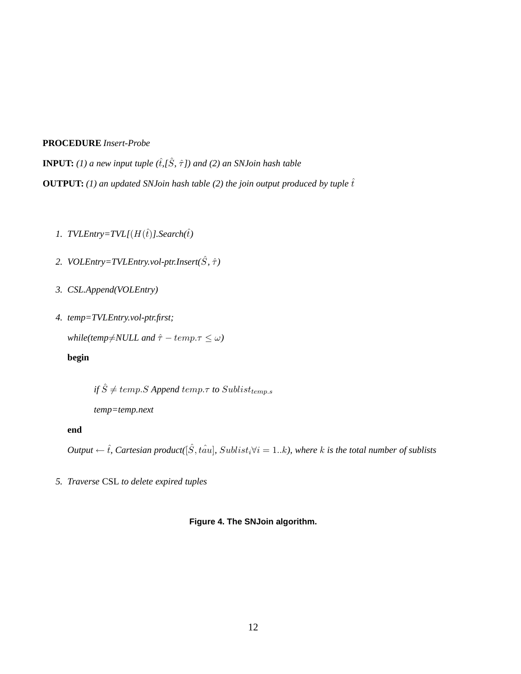## **PROCEDURE** *Insert-Probe*

**INPUT:** (1) a new input tuple  $(\hat{t}, \hat{S}, \hat{\tau})$  and (2) an SNJoin hash table **OUTPUT:** *(1) an updated SNJoin hash table (2) the join output produced by tuple*  $\hat{t}$ 

- *1. TVLEntry=TVL[* $(H(\hat{t})$ *].Search* $(\hat{t})$
- 2. *VOLEntry=TVLEntry.vol-ptr.Insert*( $\hat{S}$ *,*  $\hat{\tau}$ )
- *3. CSL.Append(VOLEntry)*
- *4. temp=TVLEntry.vol-ptr.first;*

*while(temp* $\neq$ *NULL and*  $\hat{\tau}$  – *temp.* $\tau \leq \omega$ )

## **begin**

*if*  $\hat{S} \neq temp.S$  *Append* temp. *τ to* Sublist<sub>temp.s</sub>

*temp=temp.next*

#### **end**

*Output*  $\leftarrow \hat{t}$ *, Cartesian product*( $[\hat{S}, t\hat{a}u]$ *, Sublist<sub>i</sub>* $\forall i = 1..k$ *), where* k *is the total number of sublists* 

*5. Traverse* CSL *to delete expired tuples*

#### **Figure 4. The SNJoin algorithm.**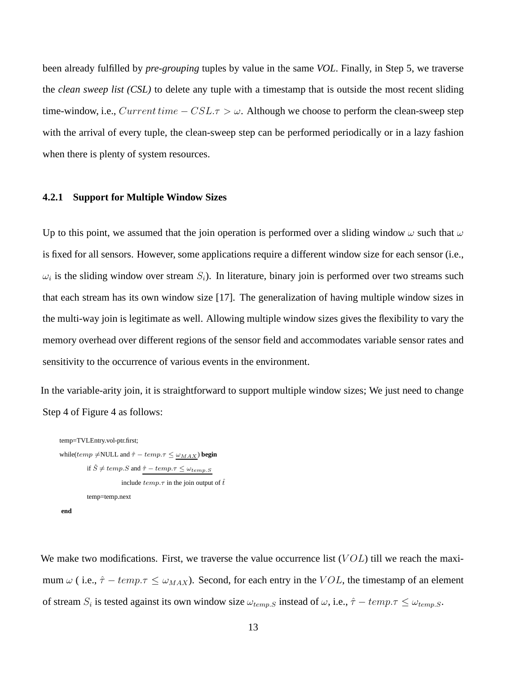been already fulfilled by *pre-grouping* tuples by value in the same *VOL*. Finally, in Step 5, we traverse the *clean sweep list (CSL)* to delete any tuple with a timestamp that is outside the most recent sliding time-window, i.e.,  $Current\ time - CSL.\tau > \omega$ . Although we choose to perform the clean-sweep step with the arrival of every tuple, the clean-sweep step can be performed periodically or in a lazy fashion when there is plenty of system resources.

### **4.2.1 Support for Multiple Window Sizes**

Up to this point, we assumed that the join operation is performed over a sliding window  $\omega$  such that  $\omega$ is fixed for all sensors. However, some applications require a different window size for each sensor (i.e.,  $\omega_i$  is the sliding window over stream  $S_i$ ). In literature, binary join is performed over two streams such that each stream has its own window size [17]. The generalization of having multiple window sizes in the multi-way join is legitimate as well. Allowing multiple window sizes gives the flexibility to vary the memory overhead over different regions of the sensor field and accommodates variable sensor rates and sensitivity to the occurrence of various events in the environment.

In the variable-arity join, it is straightforward to support multiple window sizes; We just need to change Step 4 of Figure 4 as follows:

temp=TVLEntry.vol-ptr.first;  
\nwhile(
$$
temp \neq
$$
NULL and  $\hat{\tau} - temp.\tau \leq \omega_{MAX}$ )  
\nif  $\hat{S} \neq temp.S$  and  $\hat{\tau} - temp.\tau \leq \omega_{temp.S}$   
\ninclude  $temp.\tau$  in the join output of  $\hat{t}$   
\ntemp=temp.next  
\nend

We make two modifications. First, we traverse the value occurrence list  $(VOL)$  till we reach the maximum  $\omega$  (i.e.,  $\hat{\tau} - temp.\tau \leq \omega_{MAX}$ ). Second, for each entry in the VOL, the timestamp of an element of stream  $S_i$  is tested against its own window size  $\omega_{temp,S}$  instead of  $\omega$ , i.e.,  $\hat{\tau} - temp.\tau \leq \omega_{temp,S}$ .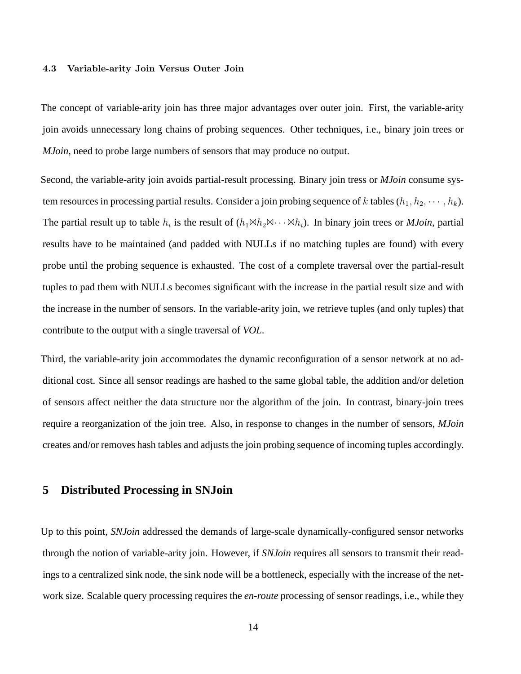#### 4.3 Variable-arity Join Versus Outer Join

The concept of variable-arity join has three major advantages over outer join. First, the variable-arity join avoids unnecessary long chains of probing sequences. Other techniques, i.e., binary join trees or *MJoin*, need to probe large numbers of sensors that may produce no output.

Second, the variable-arity join avoids partial-result processing. Binary join tress or *MJoin* consume system resources in processing partial results. Consider a join probing sequence of k tables  $(h_1, h_2, \dots, h_k)$ . The partial result up to table  $h_i$  is the result of  $(h_1 \bowtie h_2 \bowtie \cdots \bowtie h_i)$ . In binary join trees or *MJoin*, partial results have to be maintained (and padded with NULLs if no matching tuples are found) with every probe until the probing sequence is exhausted. The cost of a complete traversal over the partial-result tuples to pad them with NULLs becomes significant with the increase in the partial result size and with the increase in the number of sensors. In the variable-arity join, we retrieve tuples (and only tuples) that contribute to the output with a single traversal of *VOL*.

Third, the variable-arity join accommodates the dynamic reconfiguration of a sensor network at no additional cost. Since all sensor readings are hashed to the same global table, the addition and/or deletion of sensors affect neither the data structure nor the algorithm of the join. In contrast, binary-join trees require a reorganization of the join tree. Also, in response to changes in the number of sensors, *MJoin* creates and/or removes hash tables and adjusts the join probing sequence of incoming tuples accordingly.

## **5 Distributed Processing in SNJoin**

Up to this point, *SNJoin* addressed the demands of large-scale dynamically-configured sensor networks through the notion of variable-arity join. However, if *SNJoin* requires all sensors to transmit their readings to a centralized sink node, the sink node will be a bottleneck, especially with the increase of the network size. Scalable query processing requires the *en-route* processing of sensor readings, i.e., while they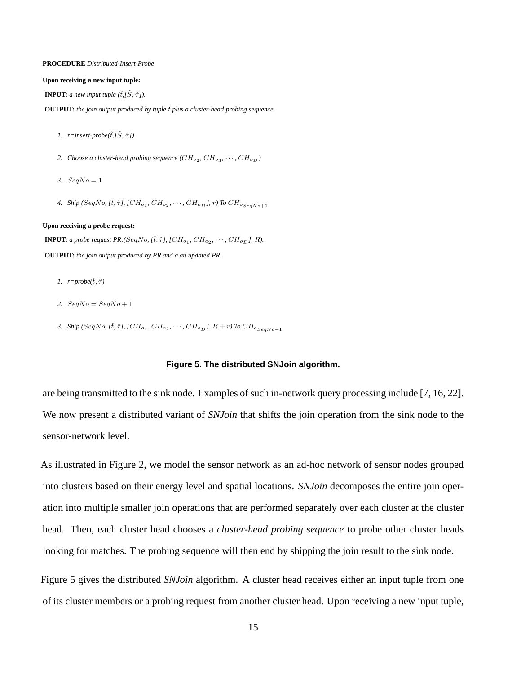#### **PROCEDURE** *Distributed-Insert-Probe*

#### **Upon receiving a new input tuple:**

**INPUT:** *a new input tuple*  $(\hat{t}, \hat{S}, \hat{\tau})$ *).* 

**OUTPUT:** *the join output produced by tuple*  $\hat{t}$  *plus a cluster-head probing sequence.* 

- *1. r=insert-probe(*tˆ*,[*Sˆ*,* τˆ*])*
- 2. Choose a cluster-head probing sequence  $(CH_{o_2}, CH_{o_3}, \cdots, CH_{o_D})$
- 3.  $SeaNo = 1$
- *4. Ship* (*SeqNo, [t̂,*  $\hat{\tau}$ *], [CH<sub>o1</sub>, CH<sub>o2</sub>,*  $\cdots$ *, CH<sub>o<sub>D</sub>], r) To CH<sub>oSeqNo+1</sub>*</sub>

#### **Upon receiving a probe request:**

**INPUT:** *a probe request PR:*( $SeqNo, [\hat{t}, \hat{\tau}]$ ,  $[CH_{o_1}, CH_{o_2}, \cdots, CH_{o_D}]$ , R).

**OUTPUT:** *the join output produced by PR and a an updated PR.*

- *1.*  $r = probe(\hat{t}, \hat{\tau})$
- 2.  $SeqNo = SeqNo + 1$
- *3. Ship* (*SeqNo, [t̂,*  $\hat{\tau}$ *], [CH<sub>o1</sub>, CH<sub>o2</sub>,*  $\cdots$ *, CH<sub>o<sub>D</sub></sub>], R + r) To CH<sub>oSeqNo+1</sub>*

#### **Figure 5. The distributed SNJoin algorithm.**

are being transmitted to the sink node. Examples of such in-network query processing include [7, 16, 22]. We now present a distributed variant of *SNJoin* that shifts the join operation from the sink node to the sensor-network level.

As illustrated in Figure 2, we model the sensor network as an ad-hoc network of sensor nodes grouped into clusters based on their energy level and spatial locations. *SNJoin* decomposes the entire join operation into multiple smaller join operations that are performed separately over each cluster at the cluster head. Then, each cluster head chooses a *cluster-head probing sequence* to probe other cluster heads looking for matches. The probing sequence will then end by shipping the join result to the sink node.

Figure 5 gives the distributed *SNJoin* algorithm. A cluster head receives either an input tuple from one of its cluster members or a probing request from another cluster head. Upon receiving a new input tuple,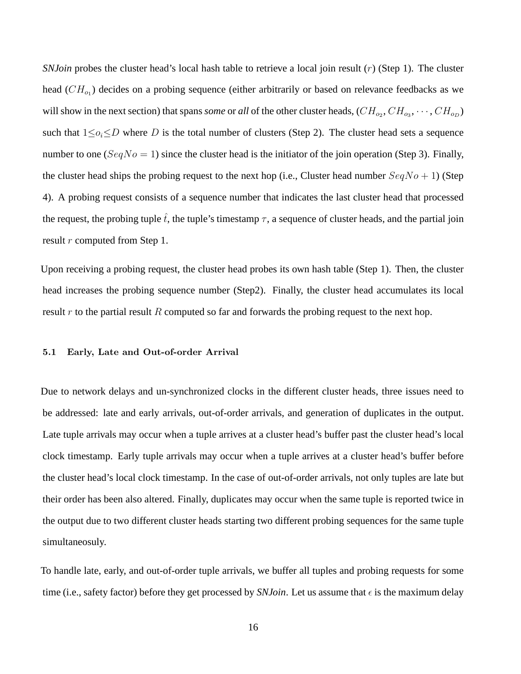*SNJoin* probes the cluster head's local hash table to retrieve a local join result (r) (Step 1). The cluster head  $(CH_{o_1})$  decides on a probing sequence (either arbitrarily or based on relevance feedbacks as we will show in the next section) that spans *some* or *all* of the other cluster heads,  $(CH_{o_2}, CH_{o_3}, \cdots, CH_{o_D})$ such that  $1 \leq o_i \leq D$  where D is the total number of clusters (Step 2). The cluster head sets a sequence number to one ( $SeqNo = 1$ ) since the cluster head is the initiator of the join operation (Step 3). Finally, the cluster head ships the probing request to the next hop (i.e., Cluster head number  $SeqNo + 1$ ) (Step 4). A probing request consists of a sequence number that indicates the last cluster head that processed the request, the probing tuple  $\hat{t}$ , the tuple's timestamp  $\tau$ , a sequence of cluster heads, and the partial join result r computed from Step 1.

Upon receiving a probing request, the cluster head probes its own hash table (Step 1). Then, the cluster head increases the probing sequence number (Step2). Finally, the cluster head accumulates its local result r to the partial result R computed so far and forwards the probing request to the next hop.

#### 5.1 Early, Late and Out-of-order Arrival

Due to network delays and un-synchronized clocks in the different cluster heads, three issues need to be addressed: late and early arrivals, out-of-order arrivals, and generation of duplicates in the output. Late tuple arrivals may occur when a tuple arrives at a cluster head's buffer past the cluster head's local clock timestamp. Early tuple arrivals may occur when a tuple arrives at a cluster head's buffer before the cluster head's local clock timestamp. In the case of out-of-order arrivals, not only tuples are late but their order has been also altered. Finally, duplicates may occur when the same tuple is reported twice in the output due to two different cluster heads starting two different probing sequences for the same tuple simultaneosuly.

To handle late, early, and out-of-order tuple arrivals, we buffer all tuples and probing requests for some time (i.e., safety factor) before they get processed by *SNJoin*. Let us assume that  $\epsilon$  is the maximum delay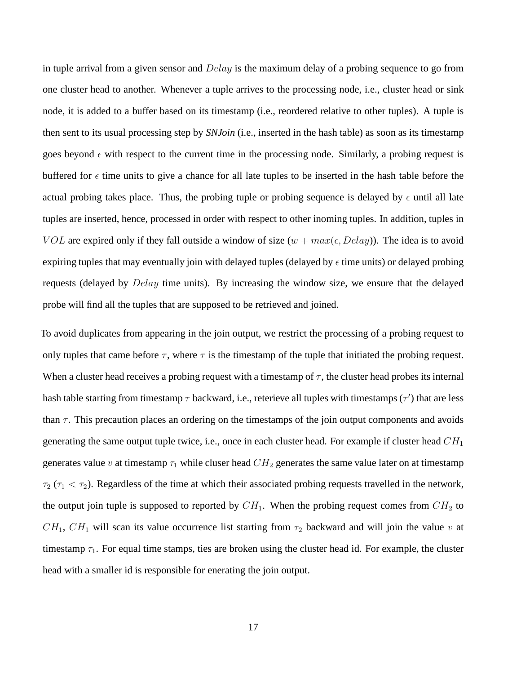in tuple arrival from a given sensor and  $Delay$  is the maximum delay of a probing sequence to go from one cluster head to another. Whenever a tuple arrives to the processing node, i.e., cluster head or sink node, it is added to a buffer based on its timestamp (i.e., reordered relative to other tuples). A tuple is then sent to its usual processing step by *SNJoin* (i.e., inserted in the hash table) as soon as its timestamp goes beyond  $\epsilon$  with respect to the current time in the processing node. Similarly, a probing request is buffered for  $\epsilon$  time units to give a chance for all late tuples to be inserted in the hash table before the actual probing takes place. Thus, the probing tuple or probing sequence is delayed by  $\epsilon$  until all late tuples are inserted, hence, processed in order with respect to other inoming tuples. In addition, tuples in VOL are expired only if they fall outside a window of size  $(w + max(\epsilon, Delay))$ . The idea is to avoid expiring tuples that may eventually join with delayed tuples (delayed by  $\epsilon$  time units) or delayed probing requests (delayed by Delay time units). By increasing the window size, we ensure that the delayed probe will find all the tuples that are supposed to be retrieved and joined.

To avoid duplicates from appearing in the join output, we restrict the processing of a probing request to only tuples that came before  $\tau$ , where  $\tau$  is the timestamp of the tuple that initiated the probing request. When a cluster head receives a probing request with a timestamp of  $\tau$ , the cluster head probes its internal hash table starting from timestamp  $\tau$  backward, i.e., reterieve all tuples with timestamps  $(\tau')$  that are less than  $\tau$ . This precaution places an ordering on the timestamps of the join output components and avoids generating the same output tuple twice, i.e., once in each cluster head. For example if cluster head  $CH<sub>1</sub>$ generates value v at timestamp  $\tau_1$  while cluser head  $CH_2$  generates the same value later on at timestamp  $\tau_2$  ( $\tau_1 < \tau_2$ ). Regardless of the time at which their associated probing requests travelled in the network, the output join tuple is supposed to reported by  $CH_1$ . When the probing request comes from  $CH_2$  to  $CH_1$ ,  $CH_1$  will scan its value occurrence list starting from  $\tau_2$  backward and will join the value v at timestamp  $\tau_1$ . For equal time stamps, ties are broken using the cluster head id. For example, the cluster head with a smaller id is responsible for enerating the join output.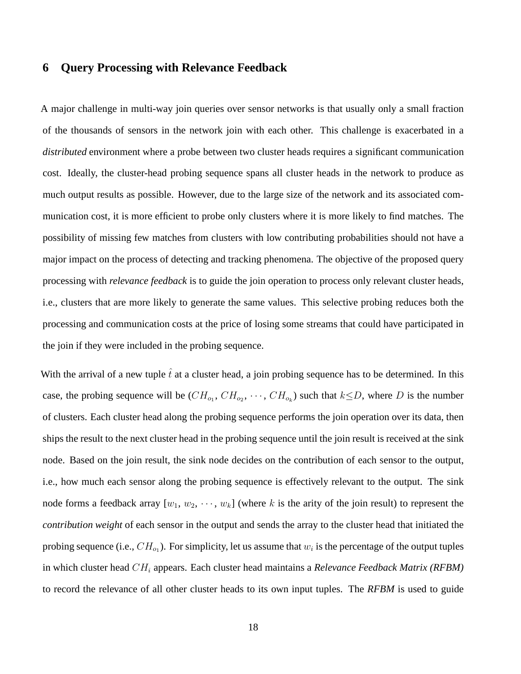# **6 Query Processing with Relevance Feedback**

A major challenge in multi-way join queries over sensor networks is that usually only a small fraction of the thousands of sensors in the network join with each other. This challenge is exacerbated in a *distributed* environment where a probe between two cluster heads requires a significant communication cost. Ideally, the cluster-head probing sequence spans all cluster heads in the network to produce as much output results as possible. However, due to the large size of the network and its associated communication cost, it is more efficient to probe only clusters where it is more likely to find matches. The possibility of missing few matches from clusters with low contributing probabilities should not have a major impact on the process of detecting and tracking phenomena. The objective of the proposed query processing with *relevance feedback* is to guide the join operation to process only relevant cluster heads, i.e., clusters that are more likely to generate the same values. This selective probing reduces both the processing and communication costs at the price of losing some streams that could have participated in the join if they were included in the probing sequence.

With the arrival of a new tuple  $\hat{t}$  at a cluster head, a join probing sequence has to be determined. In this case, the probing sequence will be  $(CH_{o_1}, CH_{o_2}, \cdots, CH_{o_k})$  such that  $k \le D$ , where D is the number of clusters. Each cluster head along the probing sequence performs the join operation over its data, then ships the result to the next cluster head in the probing sequence until the join result is received at the sink node. Based on the join result, the sink node decides on the contribution of each sensor to the output, i.e., how much each sensor along the probing sequence is effectively relevant to the output. The sink node forms a feedback array  $[w_1, w_2, \dots, w_k]$  (where k is the arity of the join result) to represent the *contribution weight* of each sensor in the output and sends the array to the cluster head that initiated the probing sequence (i.e.,  $CH_{o_1}$ ). For simplicity, let us assume that  $w_i$  is the percentage of the output tuples in which cluster head CH<sup>i</sup> appears. Each cluster head maintains a *Relevance Feedback Matrix (RFBM)* to record the relevance of all other cluster heads to its own input tuples. The *RFBM* is used to guide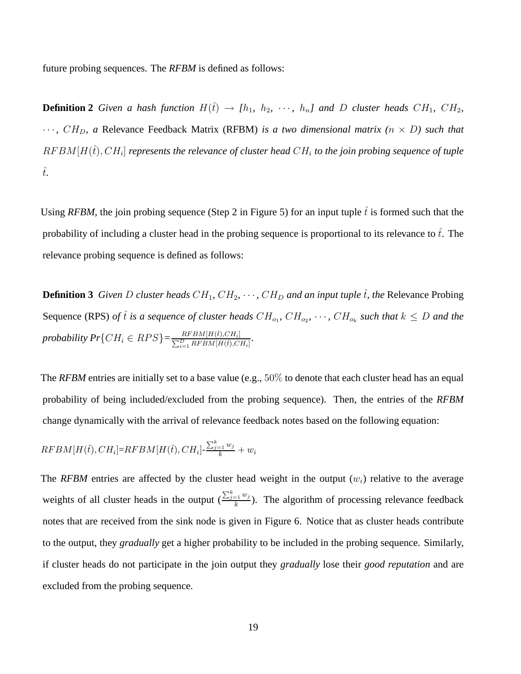future probing sequences. The *RFBM* is defined as follows:

**Definition 2** *Given a hash function*  $H(\hat{t}) \rightarrow [h_1, h_2, \cdots, h_n]$  *and D cluster heads*  $CH_1$ *, CH<sub>2</sub>*,  $\cdots$ ,  $CH_D$ , a Relevance Feedback Matrix (RFBM) *is a two dimensional matrix* ( $n \times D$ ) such that  $RFBM[H(\hat{t}), CH_i]$  represents the relevance of cluster head  $CH_i$  to the join probing sequence of tuple  $\hat{t}$ *.* 

Using *RFBM*, the join probing sequence (Step 2 in Figure 5) for an input tuple  $\hat{t}$  is formed such that the probability of including a cluster head in the probing sequence is proportional to its relevance to  $\hat{t}$ . The relevance probing sequence is defined as follows:

**Definition 3** *Given D cluster heads*  $CH_1$ *,*  $CH_2$ *<i>,*  $\cdots$ *,*  $CH_D$  *and an input tuple*  $\hat{t}$ *, the* Relevance Probing Sequence (RPS) *of*  $\hat{t}$  *is a sequence of cluster heads*  $CH_{o_1}$ ,  $CH_{o_2}$ ,  $\cdots$ ,  $CH_{o_k}$  *such that*  $k \leq D$  *and the probability Pr*{ $CH_i \in RPS$ } $=\frac{RFBM[H(\hat{t}),CH_i]}{\sum_{i=1}^{D}RFBM[H(\hat{t}),C]}$  $\frac{RFBM[H(t),CH_i]}{\sum_{i=1}^{D}RFBM[H(\hat{t}),CH_i]}$ 

The *RFBM* entries are initially set to a base value (e.g., 50% to denote that each cluster head has an equal probability of being included/excluded from the probing sequence). Then, the entries of the *RFBM* change dynamically with the arrival of relevance feedback notes based on the following equation:

$$
RFBM[H(\hat{t}), CH_i] = RFBM[H(\hat{t}), CH_i] - \frac{\sum_{j=1}^{k} w_j}{k} + w_i
$$

The *RFBM* entries are affected by the cluster head weight in the output  $(w<sub>i</sub>)$  relative to the average weights of all cluster heads in the output  $\left(\frac{\sum_{j=1}^{k} w_j}{k}\right)$  $\frac{e^{-(1-w)}(k)}{k}$ ). The algorithm of processing relevance feedback notes that are received from the sink node is given in Figure 6. Notice that as cluster heads contribute to the output, they *gradually* get a higher probability to be included in the probing sequence. Similarly, if cluster heads do not participate in the join output they *gradually* lose their *good reputation* and are excluded from the probing sequence.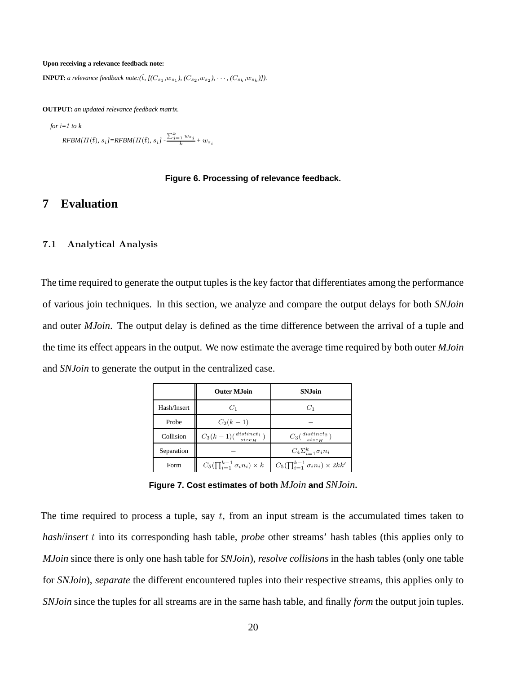#### **Upon receiving a relevance feedback note:**

**INPUT:** *a relevance feedback note:* ( $\hat{t}$ ,  $[(C_{s_1}, w_{s_1}), (C_{s_2}, w_{s_2}), \cdots, (C_{s_k}, w_{s_k})]$ ).

**OUTPUT:** *an updated relevance feedback matrix.*

*for i=1 to k*

 $\textit{RFBM}[H(\hat{t}), s_i] = \textit{RFBM}[H(\hat{t}), s_i] - \frac{\sum_{j=1}^k w_{s_j}}{k} + w_{s_i}$ 

#### **Figure 6. Processing of relevance feedback.**

# **7 Evaluation**

#### 7.1 Analytical Analysis

The time required to generate the output tuples is the key factor that differentiates among the performance of various join techniques. In this section, we analyze and compare the output delays for both *SNJoin* and outer *MJoin*. The output delay is defined as the time difference between the arrival of a tuple and the time its effect appears in the output. We now estimate the average time required by both outer *MJoin* and *SNJoin* to generate the output in the centralized case.

|             | <b>Outer M.Ioin</b>                            | <b>SNJoin</b>                                     |
|-------------|------------------------------------------------|---------------------------------------------------|
| Hash/Insert | $C_1$                                          | $C_1$                                             |
| Probe       | $C_2(k-1)$                                     |                                                   |
| Collision   | $C_3(k-1)(\frac{distinct_1}{size_H})$          | $C_3(\frac{distinct_2}{size_H})$                  |
| Separation  |                                                | $C_4\Sigma_{i-1}^k \sigma_i n_i$                  |
| Form        | $C_5(\prod_{i=1}^{k-1} \sigma_i n_i) \times k$ | $C_5(\prod_{i=1}^{k-1} \sigma_i n_i) \times 2kk'$ |

**Figure 7. Cost estimates of both** *MJoin* **and** *SNJoin***.**

The time required to process a tuple, say  $t$ , from an input stream is the accumulated times taken to *hash*/*insert* t into its corresponding hash table, *probe* other streams' hash tables (this applies only to *MJoin* since there is only one hash table for *SNJoin*), *resolve collisions* in the hash tables (only one table for *SNJoin*), *separate* the different encountered tuples into their respective streams, this applies only to *SNJoin* since the tuples for all streams are in the same hash table, and finally *form* the output join tuples.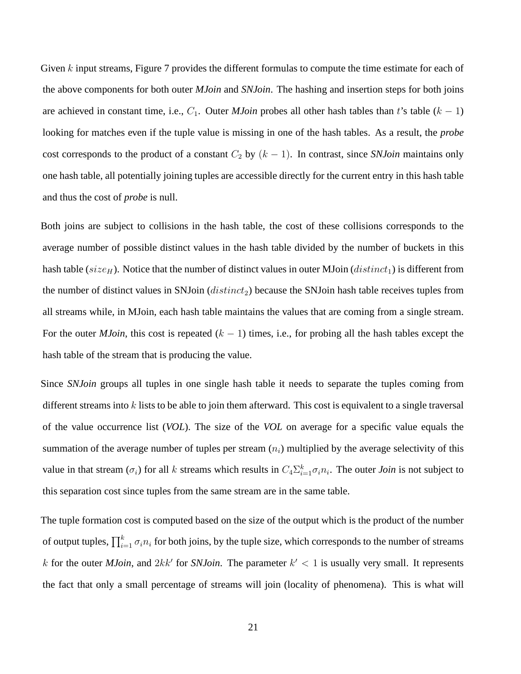Given k input streams, Figure 7 provides the different formulas to compute the time estimate for each of the above components for both outer *MJoin* and *SNJoin*. The hashing and insertion steps for both joins are achieved in constant time, i.e.,  $C_1$ . Outer *MJoin* probes all other hash tables than t's table ( $k - 1$ ) looking for matches even if the tuple value is missing in one of the hash tables. As a result, the *probe* cost corresponds to the product of a constant  $C_2$  by  $(k - 1)$ . In contrast, since *SNJoin* maintains only one hash table, all potentially joining tuples are accessible directly for the current entry in this hash table and thus the cost of *probe* is null.

Both joins are subject to collisions in the hash table, the cost of these collisions corresponds to the average number of possible distinct values in the hash table divided by the number of buckets in this hash table (size<sub>H</sub>). Notice that the number of distinct values in outer MJoin (*distinct*<sub>1</sub>) is different from the number of distinct values in SNJoin  $(distinct<sub>2</sub>)$  because the SNJoin hash table receives tuples from all streams while, in MJoin, each hash table maintains the values that are coming from a single stream. For the outer *MJoin*, this cost is repeated  $(k - 1)$  times, i.e., for probing all the hash tables except the hash table of the stream that is producing the value.

Since *SNJoin* groups all tuples in one single hash table it needs to separate the tuples coming from different streams into  $k$  lists to be able to join them afterward. This cost is equivalent to a single traversal of the value occurrence list (*VOL*). The size of the *VOL* on average for a specific value equals the summation of the average number of tuples per stream  $(n<sub>i</sub>)$  multiplied by the average selectivity of this value in that stream  $(\sigma_i)$  for all k streams which results in  $C_4\Sigma_{i=1}^k \sigma_i n_i$ . The outer *Join* is not subject to this separation cost since tuples from the same stream are in the same table.

The tuple formation cost is computed based on the size of the output which is the product of the number of output tuples,  $\prod_{i=1}^{k} \sigma_i n_i$  for both joins, by the tuple size, which corresponds to the number of streams k for the outer *MJoin*, and  $2kk'$  for *SNJoin*. The parameter  $k' < 1$  is usually very small. It represents the fact that only a small percentage of streams will join (locality of phenomena). This is what will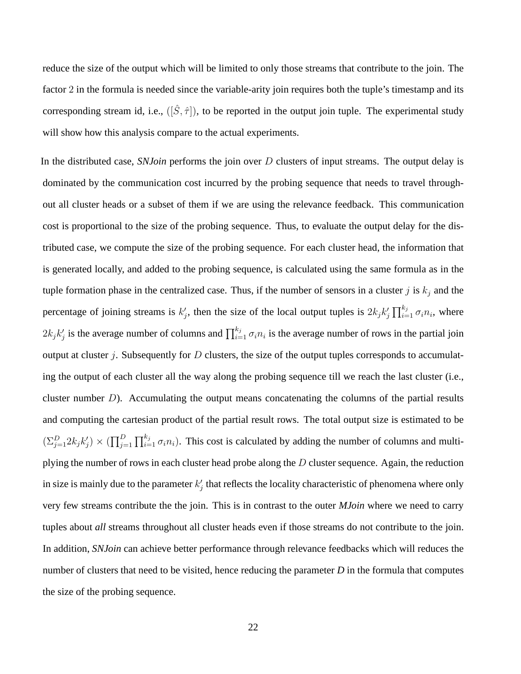reduce the size of the output which will be limited to only those streams that contribute to the join. The factor 2 in the formula is needed since the variable-arity join requires both the tuple's timestamp and its corresponding stream id, i.e.,  $([\hat{S}, \hat{\tau}])$ , to be reported in the output join tuple. The experimental study will show how this analysis compare to the actual experiments.

In the distributed case, *SNJoin* performs the join over D clusters of input streams. The output delay is dominated by the communication cost incurred by the probing sequence that needs to travel throughout all cluster heads or a subset of them if we are using the relevance feedback. This communication cost is proportional to the size of the probing sequence. Thus, to evaluate the output delay for the distributed case, we compute the size of the probing sequence. For each cluster head, the information that is generated locally, and added to the probing sequence, is calculated using the same formula as in the tuple formation phase in the centralized case. Thus, if the number of sensors in a cluster j is  $k_j$  and the percentage of joining streams is  $k'_j$ , then the size of the local output tuples is  $2k_jk'_j\prod_{i=1}^{k_j}\sigma_i n_i$ , where  $2k_jk'_j$  is the average number of columns and  $\prod_{i=1}^{k_j} \sigma_i n_i$  is the average number of rows in the partial join output at cluster  $j$ . Subsequently for  $D$  clusters, the size of the output tuples corresponds to accumulating the output of each cluster all the way along the probing sequence till we reach the last cluster (i.e., cluster number  $D$ ). Accumulating the output means concatenating the columns of the partial results and computing the cartesian product of the partial result rows. The total output size is estimated to be  $(\sum_{j=1}^D 2k_j k'_j) \times (\prod_{j=1}^D \prod_{i=1}^{k_j} \sigma_i n_i)$ . This cost is calculated by adding the number of columns and multiplying the number of rows in each cluster head probe along the  $D$  cluster sequence. Again, the reduction in size is mainly due to the parameter  $k'_j$  that reflects the locality characteristic of phenomena where only very few streams contribute the the join. This is in contrast to the outer *MJoin* where we need to carry tuples about *all* streams throughout all cluster heads even if those streams do not contribute to the join. In addition, *SNJoin* can achieve better performance through relevance feedbacks which will reduces the number of clusters that need to be visited, hence reducing the parameter *D* in the formula that computes the size of the probing sequence.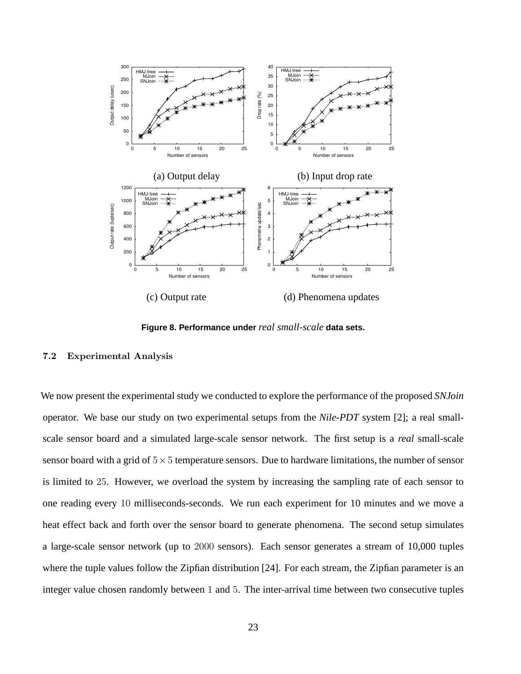

**Figure 8. Performance under** *real small-scale* **data sets.**

### 7.2 Experimental Analysis

We now present the experimental study we conducted to explore the performance of the proposed *SNJoin* operator. We base our study on two experimental setups from the *Nile-PDT* system [2]; a real smallscale sensor board and a simulated large-scale sensor network. The first setup is a *real* small-scale sensor board with a grid of  $5\times 5$  temperature sensors. Due to hardware limitations, the number of sensor is limited to 25. However, we overload the system by increasing the sampling rate of each sensor to one reading every 10 milliseconds-seconds. We run each experiment for 10 minutes and we move a heat effect back and forth over the sensor board to generate phenomena. The second setup simulates a large-scale sensor network (up to 2000 sensors). Each sensor generates a stream of 10,000 tuples where the tuple values follow the Zipfian distribution [24]. For each stream, the Zipfian parameter is an integer value chosen randomly between 1 and 5. The inter-arrival time between two consecutive tuples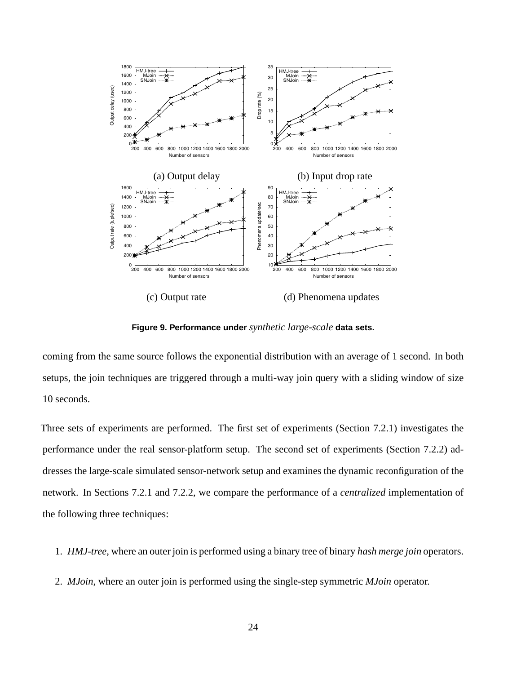

**Figure 9. Performance under** *synthetic large-scale* **data sets.**

coming from the same source follows the exponential distribution with an average of 1 second. In both setups, the join techniques are triggered through a multi-way join query with a sliding window of size 10 seconds.

Three sets of experiments are performed. The first set of experiments (Section 7.2.1) investigates the performance under the real sensor-platform setup. The second set of experiments (Section 7.2.2) addresses the large-scale simulated sensor-network setup and examines the dynamic reconfiguration of the network. In Sections 7.2.1 and 7.2.2, we compare the performance of a *centralized* implementation of the following three techniques:

- 1. *HMJ-tree*, where an outer join is performed using a binary tree of binary *hash merge join* operators.
- 2. *MJoin*, where an outer join is performed using the single-step symmetric *MJoin* operator.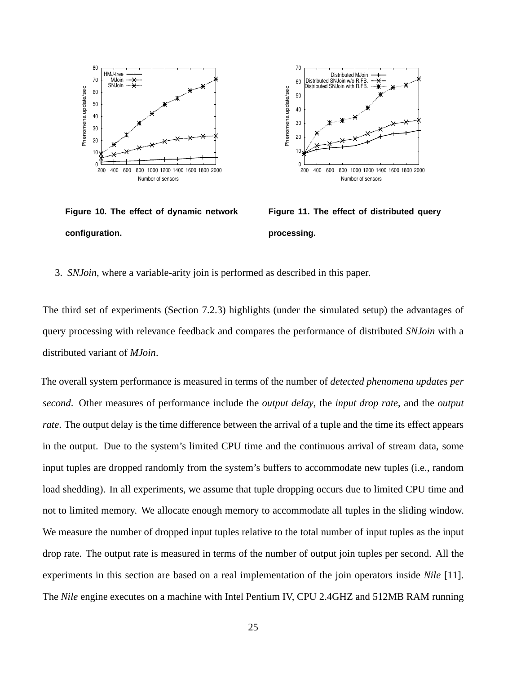

**Figure 10. The effect of dynamic network configuration.**



**Figure 11. The effect of distributed query processing.**

3. *SNJoin*, where a variable-arity join is performed as described in this paper.

The third set of experiments (Section 7.2.3) highlights (under the simulated setup) the advantages of query processing with relevance feedback and compares the performance of distributed *SNJoin* with a distributed variant of *MJoin*.

The overall system performance is measured in terms of the number of *detected phenomena updates per second*. Other measures of performance include the *output delay*, the *input drop rate*, and the *output rate*. The output delay is the time difference between the arrival of a tuple and the time its effect appears in the output. Due to the system's limited CPU time and the continuous arrival of stream data, some input tuples are dropped randomly from the system's buffers to accommodate new tuples (i.e., random load shedding). In all experiments, we assume that tuple dropping occurs due to limited CPU time and not to limited memory. We allocate enough memory to accommodate all tuples in the sliding window. We measure the number of dropped input tuples relative to the total number of input tuples as the input drop rate. The output rate is measured in terms of the number of output join tuples per second. All the experiments in this section are based on a real implementation of the join operators inside *Nile* [11]. The *Nile* engine executes on a machine with Intel Pentium IV, CPU 2.4GHZ and 512MB RAM running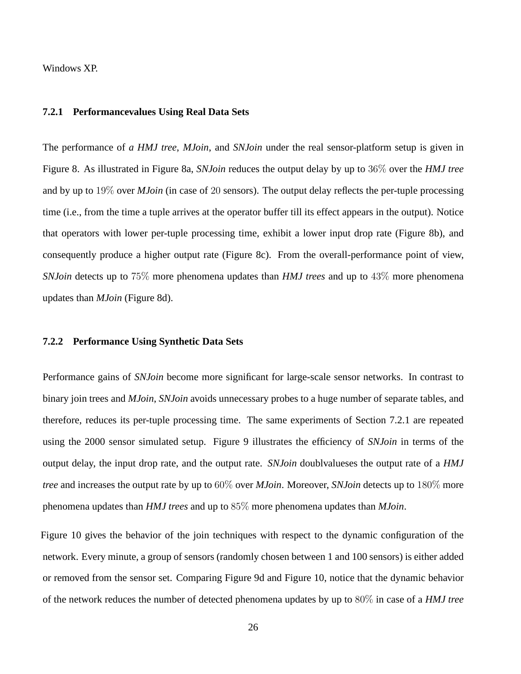Windows XP.

### **7.2.1 Performancevalues Using Real Data Sets**

The performance of *a HMJ tree*, *MJoin*, and *SNJoin* under the real sensor-platform setup is given in Figure 8. As illustrated in Figure 8a, *SNJoin* reduces the output delay by up to 36% over the *HMJ tree* and by up to 19% over *MJoin* (in case of 20 sensors). The output delay reflects the per-tuple processing time (i.e., from the time a tuple arrives at the operator buffer till its effect appears in the output). Notice that operators with lower per-tuple processing time, exhibit a lower input drop rate (Figure 8b), and consequently produce a higher output rate (Figure 8c). From the overall-performance point of view, *SNJoin* detects up to 75% more phenomena updates than *HMJ trees* and up to 43% more phenomena updates than *MJoin* (Figure 8d).

#### **7.2.2 Performance Using Synthetic Data Sets**

Performance gains of *SNJoin* become more significant for large-scale sensor networks. In contrast to binary join trees and *MJoin*, *SNJoin* avoids unnecessary probes to a huge number of separate tables, and therefore, reduces its per-tuple processing time. The same experiments of Section 7.2.1 are repeated using the 2000 sensor simulated setup. Figure 9 illustrates the efficiency of *SNJoin* in terms of the output delay, the input drop rate, and the output rate. *SNJoin* doublvalueses the output rate of a *HMJ tree* and increases the output rate by up to 60% over *MJoin*. Moreover, *SNJoin* detects up to 180% more phenomena updates than *HMJ trees* and up to 85% more phenomena updates than *MJoin*.

Figure 10 gives the behavior of the join techniques with respect to the dynamic configuration of the network. Every minute, a group of sensors (randomly chosen between 1 and 100 sensors) is either added or removed from the sensor set. Comparing Figure 9d and Figure 10, notice that the dynamic behavior of the network reduces the number of detected phenomena updates by up to 80% in case of a *HMJ tree*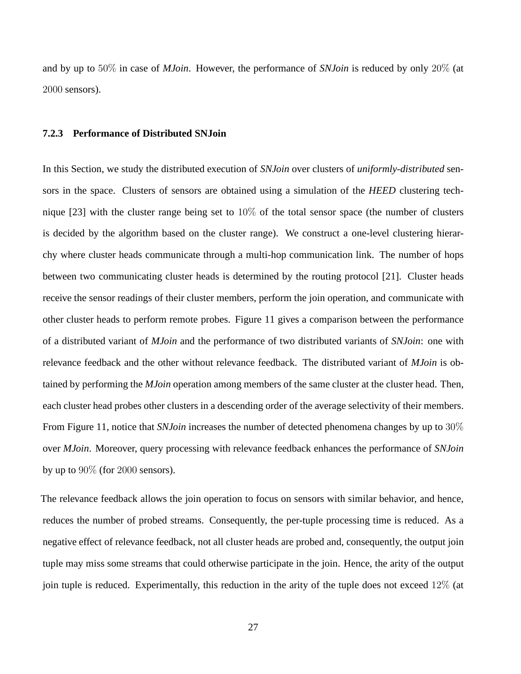and by up to 50% in case of *MJoin*. However, the performance of *SNJoin* is reduced by only 20% (at 2000 sensors).

#### **7.2.3 Performance of Distributed SNJoin**

In this Section, we study the distributed execution of *SNJoin* over clusters of *uniformly-distributed* sensors in the space. Clusters of sensors are obtained using a simulation of the *HEED* clustering technique [23] with the cluster range being set to 10% of the total sensor space (the number of clusters is decided by the algorithm based on the cluster range). We construct a one-level clustering hierarchy where cluster heads communicate through a multi-hop communication link. The number of hops between two communicating cluster heads is determined by the routing protocol [21]. Cluster heads receive the sensor readings of their cluster members, perform the join operation, and communicate with other cluster heads to perform remote probes. Figure 11 gives a comparison between the performance of a distributed variant of *MJoin* and the performance of two distributed variants of *SNJoin*: one with relevance feedback and the other without relevance feedback. The distributed variant of *MJoin* is obtained by performing the *MJoin* operation among members of the same cluster at the cluster head. Then, each cluster head probes other clusters in a descending order of the average selectivity of their members. From Figure 11, notice that *SNJoin* increases the number of detected phenomena changes by up to 30% over *MJoin*. Moreover, query processing with relevance feedback enhances the performance of *SNJoin* by up to  $90\%$  (for  $2000$  sensors).

The relevance feedback allows the join operation to focus on sensors with similar behavior, and hence, reduces the number of probed streams. Consequently, the per-tuple processing time is reduced. As a negative effect of relevance feedback, not all cluster heads are probed and, consequently, the output join tuple may miss some streams that could otherwise participate in the join. Hence, the arity of the output join tuple is reduced. Experimentally, this reduction in the arity of the tuple does not exceed 12% (at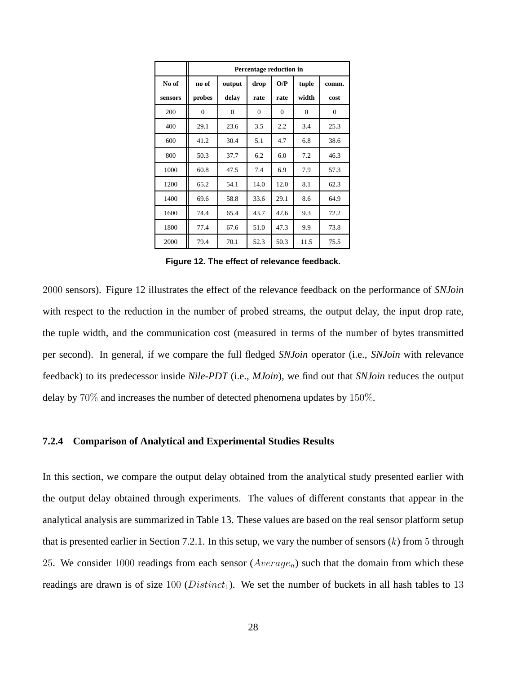|         | Percentage reduction in |              |          |          |              |              |
|---------|-------------------------|--------------|----------|----------|--------------|--------------|
| No of   | no of                   | output       | drop     | O/P      | tuple        | comm.        |
| sensors | probes                  | delay        | rate     | rate     | width        | cost         |
| 200     | $\mathbf{0}$            | $\mathbf{0}$ | $\theta$ | $\Omega$ | $\mathbf{0}$ | $\mathbf{0}$ |
| 400     | 29.1                    | 23.6         | 3.5      | 2.2      | 3.4          | 25.3         |
| 600     | 41.2                    | 30.4         | 5.1      | 4.7      | 6.8          | 38.6         |
| 800     | 50.3                    | 37.7         | 6.2      | 6.0      | 7.2          | 46.3         |
| 1000    | 60.8                    | 47.5         | 7.4      | 6.9      | 7.9          | 57.3         |
| 1200    | 65.2                    | 54.1         | 14.0     | 12.0     | 8.1          | 62.3         |
| 1400    | 69.6                    | 58.8         | 33.6     | 29.1     | 8.6          | 64.9         |
| 1600    | 74.4                    | 65.4         | 43.7     | 42.6     | 9.3          | 72.2         |
| 1800    | 77.4                    | 67.6         | 51.0     | 47.3     | 9.9          | 73.8         |
| 2000    | 79.4                    | 70.1         | 52.3     | 50.3     | 11.5         | 75.5         |

**Figure 12. The effect of relevance feedback.**

2000 sensors). Figure 12 illustrates the effect of the relevance feedback on the performance of *SNJoin* with respect to the reduction in the number of probed streams, the output delay, the input drop rate, the tuple width, and the communication cost (measured in terms of the number of bytes transmitted per second). In general, if we compare the full fledged *SNJoin* operator (i.e., *SNJoin* with relevance feedback) to its predecessor inside *Nile-PDT* (i.e., *MJoin*), we find out that *SNJoin* reduces the output delay by 70% and increases the number of detected phenomena updates by 150%.

### **7.2.4 Comparison of Analytical and Experimental Studies Results**

In this section, we compare the output delay obtained from the analytical study presented earlier with the output delay obtained through experiments. The values of different constants that appear in the analytical analysis are summarized in Table 13. These values are based on the real sensor platform setup that is presented earlier in Section 7.2.1. In this setup, we vary the number of sensors  $(k)$  from 5 through 25. We consider 1000 readings from each sensor  $(Average_n)$  such that the domain from which these readings are drawn is of size 100 ( $Distinct_1$ ). We set the number of buckets in all hash tables to 13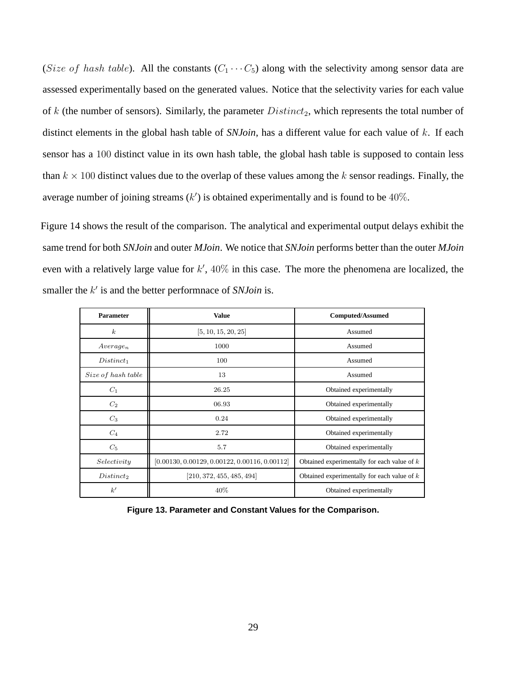(Size of hash table). All the constants  $(C_1 \cdots C_5)$  along with the selectivity among sensor data are assessed experimentally based on the generated values. Notice that the selectivity varies for each value of  $k$  (the number of sensors). Similarly, the parameter  $Distinct_2$ , which represents the total number of distinct elements in the global hash table of *SNJoin*, has a different value for each value of k. If each sensor has a 100 distinct value in its own hash table, the global hash table is supposed to contain less than  $k \times 100$  distinct values due to the overlap of these values among the k sensor readings. Finally, the average number of joining streams  $(k')$  is obtained experimentally and is found to be  $40\%$ .

Figure 14 shows the result of the comparison. The analytical and experimental output delays exhibit the same trend for both *SNJoin* and outer *MJoin*. We notice that *SNJoin* performs better than the outer *MJoin* even with a relatively large value for  $k'$ ,  $40\%$  in this case. The more the phenomena are localized, the smaller the k' is and the better performnace of *SNJoin* is.

| <b>Parameter</b>     | <b>Value</b>                                    | <b>Computed/Assumed</b>                       |  |
|----------------------|-------------------------------------------------|-----------------------------------------------|--|
| $\boldsymbol{k}$     | [5, 10, 15, 20, 25]                             | Assumed                                       |  |
| Average <sub>n</sub> | 1000                                            | Assumed                                       |  |
| $Distinct_1$         | 100                                             | Assumed                                       |  |
| Size of hash table   | 13                                              | Assumed                                       |  |
| $C_1$                | 26.25                                           | Obtained experimentally                       |  |
| $C_2$                | 06.93                                           | Obtained experimentally                       |  |
| $C_3$                | 0.24                                            | Obtained experimentally                       |  |
| $C_4$                | 2.72                                            | Obtained experimentally                       |  |
| $C_5$                | 5.7                                             | Obtained experimentally                       |  |
| Selectivity          | $[0.00130, 0.00129, 0.00122, 0.00116, 0.00112]$ | Obtained experimentally for each value of $k$ |  |
| $Distinct_2$         | [210, 372, 455, 485, 494]                       | Obtained experimentally for each value of $k$ |  |
| k'                   | 40%                                             | Obtained experimentally                       |  |

**Figure 13. Parameter and Constant Values for the Comparison.**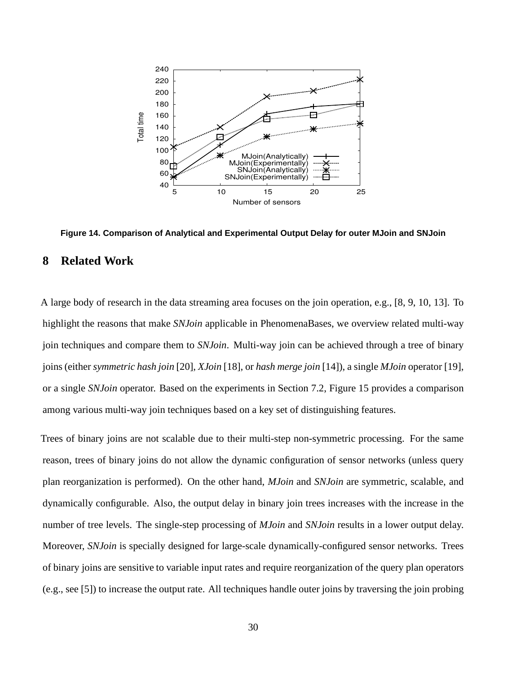

**Figure 14. Comparison of Analytical and Experimental Output Delay for outer MJoin and SNJoin**

# **8 Related Work**

A large body of research in the data streaming area focuses on the join operation, e.g., [8, 9, 10, 13]. To highlight the reasons that make *SNJoin* applicable in PhenomenaBases, we overview related multi-way join techniques and compare them to *SNJoin*. Multi-way join can be achieved through a tree of binary joins (either *symmetric hash join* [20], *XJoin* [18], or *hash merge join* [14]), a single *MJoin* operator [19], or a single *SNJoin* operator. Based on the experiments in Section 7.2, Figure 15 provides a comparison among various multi-way join techniques based on a key set of distinguishing features.

Trees of binary joins are not scalable due to their multi-step non-symmetric processing. For the same reason, trees of binary joins do not allow the dynamic configuration of sensor networks (unless query plan reorganization is performed). On the other hand, *MJoin* and *SNJoin* are symmetric, scalable, and dynamically configurable. Also, the output delay in binary join trees increases with the increase in the number of tree levels. The single-step processing of *MJoin* and *SNJoin* results in a lower output delay. Moreover, *SNJoin* is specially designed for large-scale dynamically-configured sensor networks. Trees of binary joins are sensitive to variable input rates and require reorganization of the query plan operators (e.g., see [5]) to increase the output rate. All techniques handle outer joins by traversing the join probing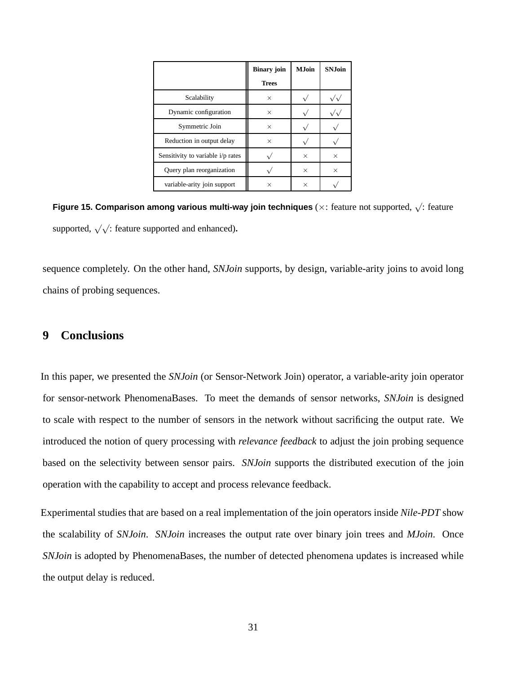|                                   | <b>Binary join</b> | <b>M.Ioin</b> | <b>SN.Ioin</b> |
|-----------------------------------|--------------------|---------------|----------------|
|                                   | <b>Trees</b>       |               |                |
| Scalability                       | $\times$           |               |                |
| Dynamic configuration             | $\times$           |               |                |
| Symmetric Join                    | $\times$           |               |                |
| Reduction in output delay         | $\times$           |               |                |
| Sensitivity to variable i/p rates |                    | $\times$      | X              |
| Query plan reorganization         |                    | $\times$      | X              |
| variable-arity join support       | $\times$           | $\times$      |                |

**Figure 15. Comparison among various multi-way join techniques** (×: feature not supported, <sup>√</sup> : feature supported,  $\sqrt{\sqrt{ }}$  feature supported and enhanced).

sequence completely. On the other hand, *SNJoin* supports, by design, variable-arity joins to avoid long chains of probing sequences.

# **9 Conclusions**

In this paper, we presented the *SNJoin* (or Sensor-Network Join) operator, a variable-arity join operator for sensor-network PhenomenaBases. To meet the demands of sensor networks, *SNJoin* is designed to scale with respect to the number of sensors in the network without sacrificing the output rate. We introduced the notion of query processing with *relevance feedback* to adjust the join probing sequence based on the selectivity between sensor pairs. *SNJoin* supports the distributed execution of the join operation with the capability to accept and process relevance feedback.

Experimental studies that are based on a real implementation of the join operators inside *Nile-PDT* show the scalability of *SNJoin*. *SNJoin* increases the output rate over binary join trees and *MJoin*. Once *SNJoin* is adopted by PhenomenaBases, the number of detected phenomena updates is increased while the output delay is reduced.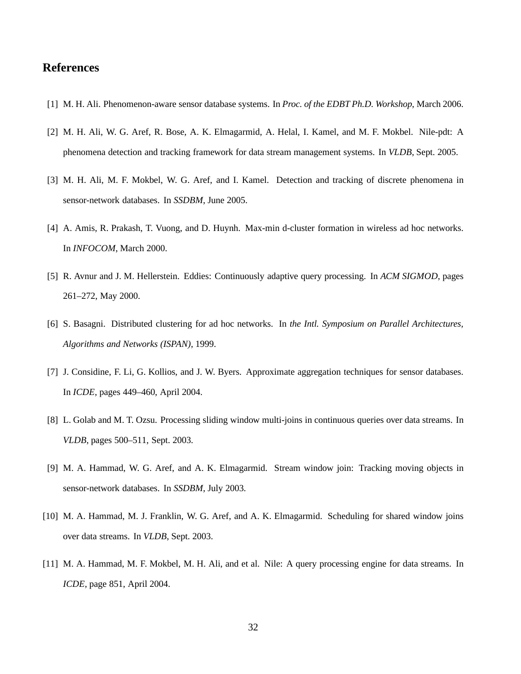# **References**

- [1] M. H. Ali. Phenomenon-aware sensor database systems. In *Proc. of the EDBT Ph.D. Workshop*, March 2006.
- [2] M. H. Ali, W. G. Aref, R. Bose, A. K. Elmagarmid, A. Helal, I. Kamel, and M. F. Mokbel. Nile-pdt: A phenomena detection and tracking framework for data stream management systems. In *VLDB*, Sept. 2005.
- [3] M. H. Ali, M. F. Mokbel, W. G. Aref, and I. Kamel. Detection and tracking of discrete phenomena in sensor-network databases. In *SSDBM*, June 2005.
- [4] A. Amis, R. Prakash, T. Vuong, and D. Huynh. Max-min d-cluster formation in wireless ad hoc networks. In *INFOCOM*, March 2000.
- [5] R. Avnur and J. M. Hellerstein. Eddies: Continuously adaptive query processing. In *ACM SIGMOD*, pages 261–272, May 2000.
- [6] S. Basagni. Distributed clustering for ad hoc networks. In *the Intl. Symposium on Parallel Architectures, Algorithms and Networks (ISPAN)*, 1999.
- [7] J. Considine, F. Li, G. Kollios, and J. W. Byers. Approximate aggregation techniques for sensor databases. In *ICDE*, pages 449–460, April 2004.
- [8] L. Golab and M. T. Ozsu. Processing sliding window multi-joins in continuous queries over data streams. In *VLDB*, pages 500–511, Sept. 2003.
- [9] M. A. Hammad, W. G. Aref, and A. K. Elmagarmid. Stream window join: Tracking moving objects in sensor-network databases. In *SSDBM*, July 2003.
- [10] M. A. Hammad, M. J. Franklin, W. G. Aref, and A. K. Elmagarmid. Scheduling for shared window joins over data streams. In *VLDB*, Sept. 2003.
- [11] M. A. Hammad, M. F. Mokbel, M. H. Ali, and et al. Nile: A query processing engine for data streams. In *ICDE*, page 851, April 2004.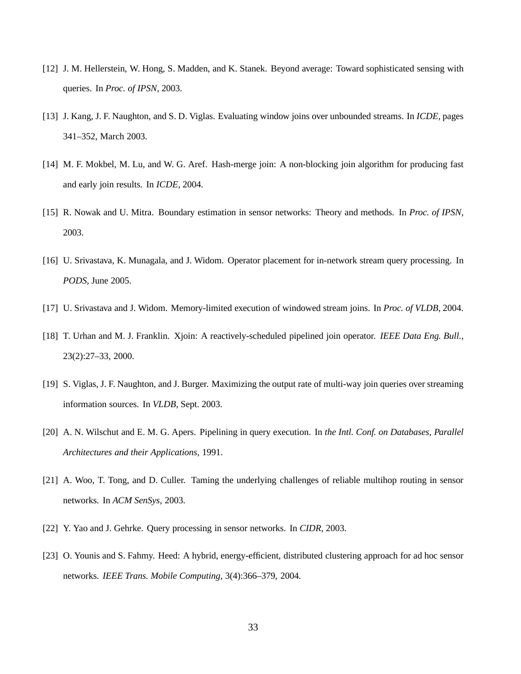- [12] J. M. Hellerstein, W. Hong, S. Madden, and K. Stanek. Beyond average: Toward sophisticated sensing with queries. In *Proc. of IPSN*, 2003.
- [13] J. Kang, J. F. Naughton, and S. D. Viglas. Evaluating window joins over unbounded streams. In *ICDE*, pages 341–352, March 2003.
- [14] M. F. Mokbel, M. Lu, and W. G. Aref. Hash-merge join: A non-blocking join algorithm for producing fast and early join results. In *ICDE*, 2004.
- [15] R. Nowak and U. Mitra. Boundary estimation in sensor networks: Theory and methods. In *Proc. of IPSN*, 2003.
- [16] U. Srivastava, K. Munagala, and J. Widom. Operator placement for in-network stream query processing. In *PODS*, June 2005.
- [17] U. Srivastava and J. Widom. Memory-limited execution of windowed stream joins. In *Proc. of VLDB*, 2004.
- [18] T. Urhan and M. J. Franklin. Xjoin: A reactively-scheduled pipelined join operator. *IEEE Data Eng. Bull.*, 23(2):27–33, 2000.
- [19] S. Viglas, J. F. Naughton, and J. Burger. Maximizing the output rate of multi-way join queries over streaming information sources. In *VLDB*, Sept. 2003.
- [20] A. N. Wilschut and E. M. G. Apers. Pipelining in query execution. In *the Intl. Conf. on Databases, Parallel Architectures and their Applications*, 1991.
- [21] A. Woo, T. Tong, and D. Culler. Taming the underlying challenges of reliable multihop routing in sensor networks. In *ACM SenSys*, 2003.
- [22] Y. Yao and J. Gehrke. Query processing in sensor networks. In *CIDR*, 2003.
- [23] O. Younis and S. Fahmy. Heed: A hybrid, energy-efficient, distributed clustering approach for ad hoc sensor networks. *IEEE Trans. Mobile Computing*, 3(4):366–379, 2004.